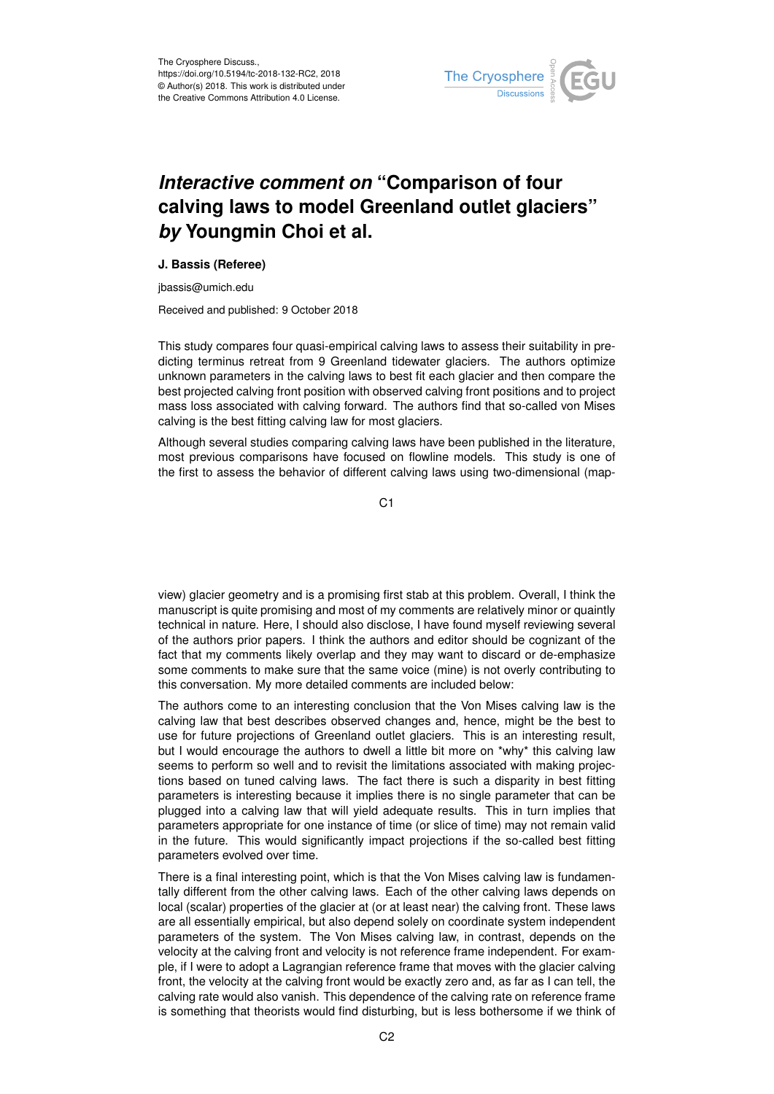

## *Interactive comment on* **"Comparison of four calving laws to model Greenland outlet glaciers"** *by* **Youngmin Choi et al.**

## **J. Bassis (Referee)**

jbassis@umich.edu

Received and published: 9 October 2018

This study compares four quasi-empirical calving laws to assess their suitability in predicting terminus retreat from 9 Greenland tidewater glaciers. The authors optimize unknown parameters in the calving laws to best fit each glacier and then compare the best projected calving front position with observed calving front positions and to project mass loss associated with calving forward. The authors find that so-called von Mises calving is the best fitting calving law for most glaciers.

Although several studies comparing calving laws have been published in the literature, most previous comparisons have focused on flowline models. This study is one of the first to assess the behavior of different calving laws using two-dimensional (map-

C1

view) glacier geometry and is a promising first stab at this problem. Overall, I think the manuscript is quite promising and most of my comments are relatively minor or quaintly technical in nature. Here, I should also disclose, I have found myself reviewing several of the authors prior papers. I think the authors and editor should be cognizant of the fact that my comments likely overlap and they may want to discard or de-emphasize some comments to make sure that the same voice (mine) is not overly contributing to this conversation. My more detailed comments are included below:

The authors come to an interesting conclusion that the Von Mises calving law is the calving law that best describes observed changes and, hence, might be the best to use for future projections of Greenland outlet glaciers. This is an interesting result, but I would encourage the authors to dwell a little bit more on \*why\* this calving law seems to perform so well and to revisit the limitations associated with making projections based on tuned calving laws. The fact there is such a disparity in best fitting parameters is interesting because it implies there is no single parameter that can be plugged into a calving law that will yield adequate results. This in turn implies that parameters appropriate for one instance of time (or slice of time) may not remain valid in the future. This would significantly impact projections if the so-called best fitting parameters evolved over time.

There is a final interesting point, which is that the Von Mises calving law is fundamentally different from the other calving laws. Each of the other calving laws depends on local (scalar) properties of the glacier at (or at least near) the calving front. These laws are all essentially empirical, but also depend solely on coordinate system independent parameters of the system. The Von Mises calving law, in contrast, depends on the velocity at the calving front and velocity is not reference frame independent. For example, if I were to adopt a Lagrangian reference frame that moves with the glacier calving front, the velocity at the calving front would be exactly zero and, as far as I can tell, the calving rate would also vanish. This dependence of the calving rate on reference frame is something that theorists would find disturbing, but is less bothersome if we think of